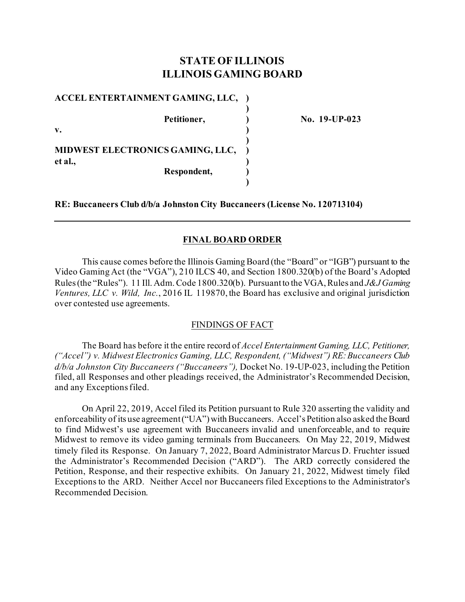# **STATE OF ILLINOIS ILLINOIS GAMING BOARD**

**)**

**)**

**)**

**ACCEL ENTERTAINMENT GAMING, LLC, )**

**v. )** 

**MIDWEST ELECTRONICS GAMING, LLC, ) et al., ) Respondent, )**

**Petitioner, ) No. 19-UP-023**

**RE: Buccaneers Club d/b/a Johnston City Buccaneers (License No. 120713104)**

## **FINAL BOARD ORDER**

This cause comes before the Illinois Gaming Board (the "Board" or "IGB") pursuant to the Video Gaming Act (the "VGA"), 210 ILCS 40, and Section 1800.320(b) of the Board's Adopted Rules (the "Rules"). 11 Ill. Adm. Code 1800.320(b). Pursuant to the VGA, Rules and *J&J Gaming Ventures, LLC v. Wild, Inc.*, 2016 IL 119870, the Board has exclusive and original jurisdiction over contested use agreements.

## FINDINGS OF FACT

The Board has before it the entire record of *Accel Entertainment Gaming, LLC, Petitioner, ("Accel") v. Midwest Electronics Gaming, LLC, Respondent, ("Midwest") RE:Buccaneers Club d/b/a Johnston City Buccaneers ("Buccaneers"),* Docket No. 19-UP-023, including the Petition filed, all Responses and other pleadings received, the Administrator's Recommended Decision, and any Exceptions filed.

On April 22, 2019, Accel filed its Petition pursuant to Rule 320 asserting the validity and enforceability of its use agreement("UA")with Buccaneers. Accel's Petition also asked the Board to find Midwest's use agreement with Buccaneers invalid and unenforceable, and to require Midwest to remove its video gaming terminals from Buccaneers. On May 22, 2019, Midwest timely filed its Response. On January 7, 2022, Board Administrator Marcus D. Fruchter issued the Administrator's Recommended Decision ("ARD"). The ARD correctly considered the Petition, Response, and their respective exhibits. On January 21, 2022, Midwest timely filed Exceptions to the ARD. Neither Accel nor Buccaneers filed Exceptions to the Administrator's Recommended Decision.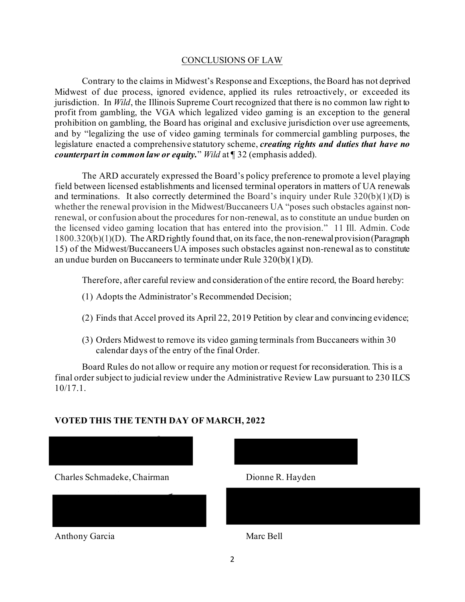### CONCLUSIONS OF LAW

Contrary to the claims in Midwest's Response and Exceptions, the Board has not deprived Midwest of due process, ignored evidence, applied its rules retroactively, or exceeded its jurisdiction. In *Wild*, the Illinois Supreme Court recognized that there is no common law right to profit from gambling, the VGA which legalized video gaming is an exception to the general prohibition on gambling, the Board has original and exclusive jurisdiction over use agreements, and by "legalizing the use of video gaming terminals for commercial gambling purposes, the legislature enacted a comprehensive statutory scheme, *creating rights and duties that have no counterpart in common law or equity.*" *Wild* at ¶ 32 (emphasis added).

The ARD accurately expressed the Board's policy preference to promote a level playing field between licensed establishments and licensed terminal operators in matters of UA renewals and terminations. It also correctly determined the Board's inquiry under Rule  $320(b)(1)(D)$  is whether the renewal provision in the Midwest/Buccaneers UA "poses such obstacles against nonrenewal, or confusion about the procedures for non-renewal, as to constitute an undue burden on the licensed video gaming location that has entered into the provision." 11 Ill. Admin. Code 1800.320(b)(1)(D). The ARD rightly found that, on its face, the non-renewal provision (Paragraph 15) of the Midwest/Buccaneers UA imposes such obstacles against non-renewal as to constitute an undue burden on Buccaneers to terminate under Rule 320(b)(1)(D).

Therefore, after careful review and consideration of the entire record, the Board hereby:

- (1) Adopts the Administrator's Recommended Decision;
- (2) Finds that Accel proved its April 22, 2019 Petition by clear and convincing evidence;
- (3) Orders Midwest to remove its video gaming terminals from Buccaneers within 30 calendar days of the entry of the final Order.

Board Rules do not allow or require any motion or request for reconsideration. This is a final order subject to judicial review under the Administrative Review Law pursuant to 230 ILCS 10/17.1.



## **VOTED THIS THE TENTH DAY OF MARCH, 2022**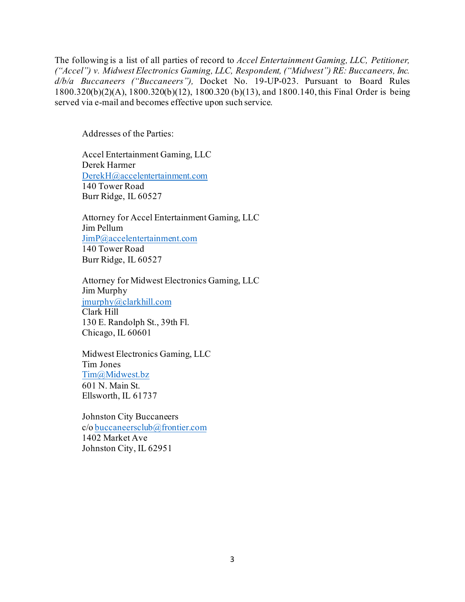The following is a list of all parties of record to *Accel Entertainment Gaming, LLC, Petitioner, ("Accel") v. Midwest Electronics Gaming, LLC, Respondent, ("Midwest") RE: Buccaneers, Inc. d/b/a Buccaneers ("Buccaneers"),* Docket No. 19-UP-023. Pursuant to Board Rules 1800.320(b)(2)(A), 1800.320(b)(12), 1800.320 (b)(13), and 1800.140, this Final Order is being served via e-mail and becomes effective upon such service.

Addresses of the Parties:

Accel Entertainment Gaming, LLC Derek Harmer [DerekH@accelentertainment.com](mailto:DerekH@accelentertainment.com) 140 Tower Road Burr Ridge, IL 60527

Attorney for Accel Entertainment Gaming, LLC Jim Pellum [JimP@accelentertainment.com](mailto:JimP@accelentertainment.com) 140 Tower Road Burr Ridge, IL 60527

Attorney for Midwest Electronics Gaming, LLC Jim Murphy [jmurphy@clarkhill.com](mailto:jmurphy@clarkhill.com) Clark Hill 130 E. Randolph St., 39th Fl. Chicago, IL 60601

Midwest Electronics Gaming, LLC Tim Jones [Tim@Midwest.bz](mailto:Tim@Midwest.bz) 601 N. Main St. Ellsworth, IL 61737

Johnston City Buccaneers c/o [buccaneersclub@frontier.com](mailto:buccaneersclub@frontier.com) 1402 Market Ave Johnston City, IL 62951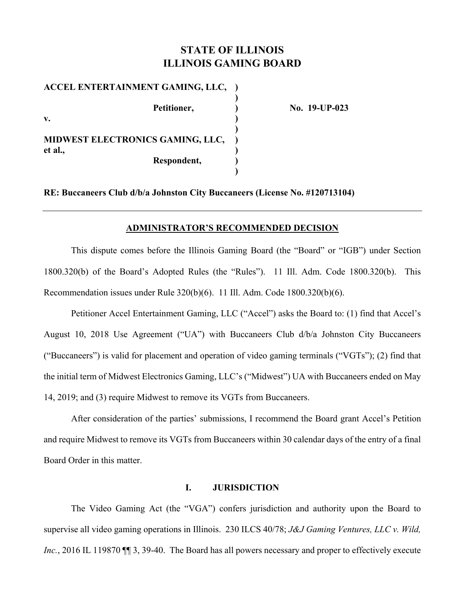# **STATE OF ILLINOIS ILLINOIS GAMING BOARD**

**ACCEL ENTERTAINMENT GAMING, LLC, ) ) ) )** Petitioner, 2010 19-UP-023 **v. ) ) MIDWEST ELECTRONICS GAMING, LLC, ) et al., ) Respondent, ) )** 

**RE: Buccaneers Club d/b/a Johnston City Buccaneers (License No. #120713104)** 

#### **ADMINISTRATOR'S RECOMMENDED DECISION**

This dispute comes before the Illinois Gaming Board (the "Board" or "IGB") under Section 1800.320(b) of the Board's Adopted Rules (the "Rules"). 11 Ill. Adm. Code 1800.320(b). This Recommendation issues under Rule 320(b)(6). 11 Ill. Adm. Code 1800.320(b)(6).

Petitioner Accel Entertainment Gaming, LLC ("Accel") asks the Board to: (1) find that Accel's August 10, 2018 Use Agreement ("UA") with Buccaneers Club d/b/a Johnston City Buccaneers ("Buccaneers") is valid for placement and operation of video gaming terminals ("VGTs"); (2) find that the initial term of Midwest Electronics Gaming, LLC's ("Midwest") UA with Buccaneers ended on May 14, 2019; and (3) require Midwest to remove its VGTs from Buccaneers.

After consideration of the parties' submissions, I recommend the Board grant Accel's Petition and require Midwest to remove its VGTs from Buccaneers within 30 calendar days of the entry of a final Board Order in this matter.

#### **I. JURISDICTION**

The Video Gaming Act (the "VGA") confers jurisdiction and authority upon the Board to supervise all video gaming operations in Illinois. 230 ILCS 40/78; *J&J Gaming Ventures, LLC v. Wild, Inc.*, 2016 IL 119870  $\P$  3, 39-40. The Board has all powers necessary and proper to effectively execute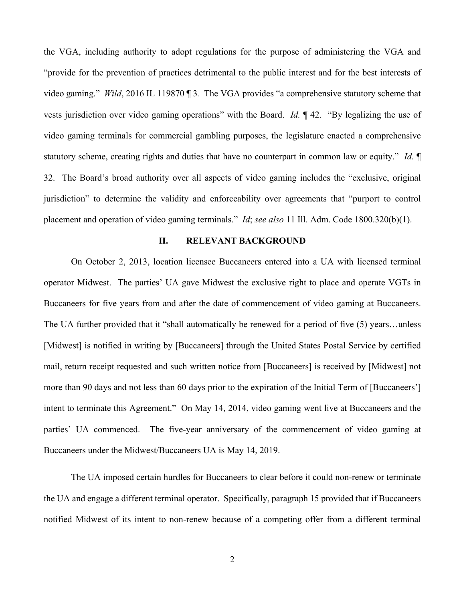the VGA, including authority to adopt regulations for the purpose of administering the VGA and "provide for the prevention of practices detrimental to the public interest and for the best interests of video gaming." *Wild*, 2016 IL 119870 ¶ 3*.* The VGA provides "a comprehensive statutory scheme that vests jurisdiction over video gaming operations" with the Board. *Id.* ¶ 42. "By legalizing the use of video gaming terminals for commercial gambling purposes, the legislature enacted a comprehensive statutory scheme, creating rights and duties that have no counterpart in common law or equity." *Id.* ¶ 32. The Board's broad authority over all aspects of video gaming includes the "exclusive, original jurisdiction" to determine the validity and enforceability over agreements that "purport to control placement and operation of video gaming terminals." *Id*; *see also* 11 Ill. Adm. Code 1800.320(b)(1).

#### **II. RELEVANT BACKGROUND**

On October 2, 2013, location licensee Buccaneers entered into a UA with licensed terminal operator Midwest. The parties' UA gave Midwest the exclusive right to place and operate VGTs in Buccaneers for five years from and after the date of commencement of video gaming at Buccaneers. The UA further provided that it "shall automatically be renewed for a period of five (5) years…unless [Midwest] is notified in writing by [Buccaneers] through the United States Postal Service by certified mail, return receipt requested and such written notice from [Buccaneers] is received by [Midwest] not more than 90 days and not less than 60 days prior to the expiration of the Initial Term of [Buccaneers'] intent to terminate this Agreement." On May 14, 2014, video gaming went live at Buccaneers and the parties' UA commenced. The five-year anniversary of the commencement of video gaming at Buccaneers under the Midwest/Buccaneers UA is May 14, 2019.

The UA imposed certain hurdles for Buccaneers to clear before it could non-renew or terminate the UA and engage a different terminal operator. Specifically, paragraph 15 provided that if Buccaneers notified Midwest of its intent to non-renew because of a competing offer from a different terminal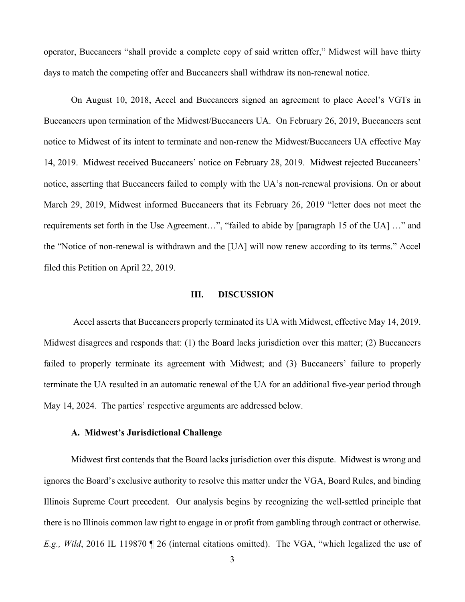operator, Buccaneers "shall provide a complete copy of said written offer," Midwest will have thirty days to match the competing offer and Buccaneers shall withdraw its non-renewal notice.

On August 10, 2018, Accel and Buccaneers signed an agreement to place Accel's VGTs in Buccaneers upon termination of the Midwest/Buccaneers UA. On February 26, 2019, Buccaneers sent notice to Midwest of its intent to terminate and non-renew the Midwest/Buccaneers UA effective May 14, 2019. Midwest received Buccaneers' notice on February 28, 2019. Midwest rejected Buccaneers' notice, asserting that Buccaneers failed to comply with the UA's non-renewal provisions. On or about March 29, 2019, Midwest informed Buccaneers that its February 26, 2019 "letter does not meet the requirements set forth in the Use Agreement…", "failed to abide by [paragraph 15 of the UA] …" and the "Notice of non-renewal is withdrawn and the [UA] will now renew according to its terms." Accel filed this Petition on April 22, 2019.

#### **III. DISCUSSION**

 Accel asserts that Buccaneers properly terminated its UA with Midwest, effective May 14, 2019. Midwest disagrees and responds that: (1) the Board lacks jurisdiction over this matter; (2) Buccaneers failed to properly terminate its agreement with Midwest; and (3) Buccaneers' failure to properly terminate the UA resulted in an automatic renewal of the UA for an additional five-year period through May 14, 2024. The parties' respective arguments are addressed below.

#### **A. Midwest's Jurisdictional Challenge**

Midwest first contends that the Board lacks jurisdiction over this dispute. Midwest is wrong and ignores the Board's exclusive authority to resolve this matter under the VGA, Board Rules, and binding Illinois Supreme Court precedent. Our analysis begins by recognizing the well-settled principle that there is no Illinois common law right to engage in or profit from gambling through contract or otherwise. *E.g., Wild*, 2016 IL 119870 ¶ 26 (internal citations omitted). The VGA, "which legalized the use of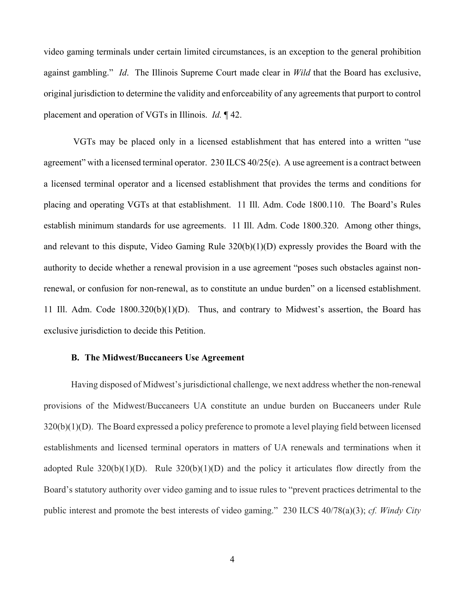video gaming terminals under certain limited circumstances, is an exception to the general prohibition against gambling." *Id*. The Illinois Supreme Court made clear in *Wild* that the Board has exclusive, original jurisdiction to determine the validity and enforceability of any agreements that purport to control placement and operation of VGTs in Illinois. *Id.* ¶ 42.

 VGTs may be placed only in a licensed establishment that has entered into a written "use agreement" with a licensed terminal operator. 230 ILCS 40/25(e). A use agreement is a contract between a licensed terminal operator and a licensed establishment that provides the terms and conditions for placing and operating VGTs at that establishment. 11 Ill. Adm. Code 1800.110. The Board's Rules establish minimum standards for use agreements. 11 Ill. Adm. Code 1800.320. Among other things, and relevant to this dispute, Video Gaming Rule 320(b)(1)(D) expressly provides the Board with the authority to decide whether a renewal provision in a use agreement "poses such obstacles against nonrenewal, or confusion for non-renewal, as to constitute an undue burden" on a licensed establishment. 11 Ill. Adm. Code 1800.320(b)(1)(D). Thus, and contrary to Midwest's assertion, the Board has exclusive jurisdiction to decide this Petition.

#### **B. The Midwest/Buccaneers Use Agreement**

Having disposed of Midwest's jurisdictional challenge, we next address whether the non-renewal provisions of the Midwest/Buccaneers UA constitute an undue burden on Buccaneers under Rule 320(b)(1)(D). The Board expressed a policy preference to promote a level playing field between licensed establishments and licensed terminal operators in matters of UA renewals and terminations when it adopted Rule  $320(b)(1)(D)$ . Rule  $320(b)(1)(D)$  and the policy it articulates flow directly from the Board's statutory authority over video gaming and to issue rules to "prevent practices detrimental to the public interest and promote the best interests of video gaming." 230 ILCS 40/78(a)(3); *cf. Windy City*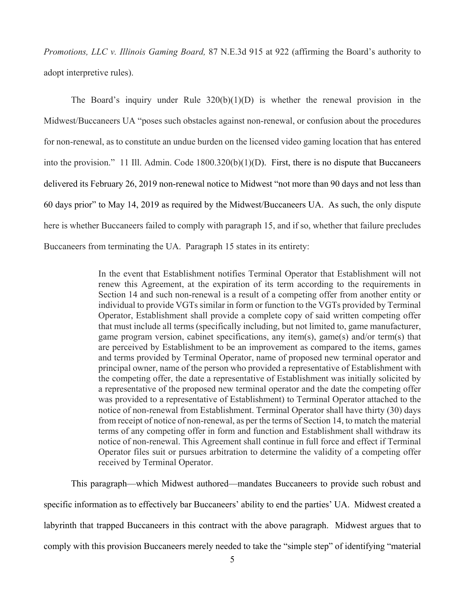*Promotions, LLC v. Illinois Gaming Board,* 87 N.E.3d 915 at 922 (affirming the Board's authority to adopt interpretive rules).

The Board's inquiry under Rule  $320(b)(1)(D)$  is whether the renewal provision in the Midwest/Buccaneers UA "poses such obstacles against non-renewal, or confusion about the procedures for non-renewal, as to constitute an undue burden on the licensed video gaming location that has entered into the provision." 11 Ill. Admin. Code 1800.320(b)(1)(D). First, there is no dispute that Buccaneers delivered its February 26, 2019 non-renewal notice to Midwest "not more than 90 days and not less than 60 days prior" to May 14, 2019 as required by the Midwest/Buccaneers UA. As such, the only dispute here is whether Buccaneers failed to comply with paragraph 15, and if so, whether that failure precludes Buccaneers from terminating the UA. Paragraph 15 states in its entirety:

> In the event that Establishment notifies Terminal Operator that Establishment will not renew this Agreement, at the expiration of its term according to the requirements in Section 14 and such non-renewal is a result of a competing offer from another entity or individual to provide VGTs similar in form or function to the VGTs provided by Terminal Operator, Establishment shall provide a complete copy of said written competing offer that must include all terms (specifically including, but not limited to, game manufacturer, game program version, cabinet specifications, any item(s), game(s) and/or term(s) that are perceived by Establishment to be an improvement as compared to the items, games and terms provided by Terminal Operator, name of proposed new terminal operator and principal owner, name of the person who provided a representative of Establishment with the competing offer, the date a representative of Establishment was initially solicited by a representative of the proposed new terminal operator and the date the competing offer was provided to a representative of Establishment) to Terminal Operator attached to the notice of non-renewal from Establishment. Terminal Operator shall have thirty (30) days from receipt of notice of non-renewal, as per the terms of Section 14, to match the material terms of any competing offer in form and function and Establishment shall withdraw its notice of non-renewal. This Agreement shall continue in full force and effect if Terminal Operator files suit or pursues arbitration to determine the validity of a competing offer received by Terminal Operator.

This paragraph—which Midwest authored—mandates Buccaneers to provide such robust and specific information as to effectively bar Buccaneers' ability to end the parties' UA. Midwest created a labyrinth that trapped Buccaneers in this contract with the above paragraph. Midwest argues that to comply with this provision Buccaneers merely needed to take the "simple step" of identifying "material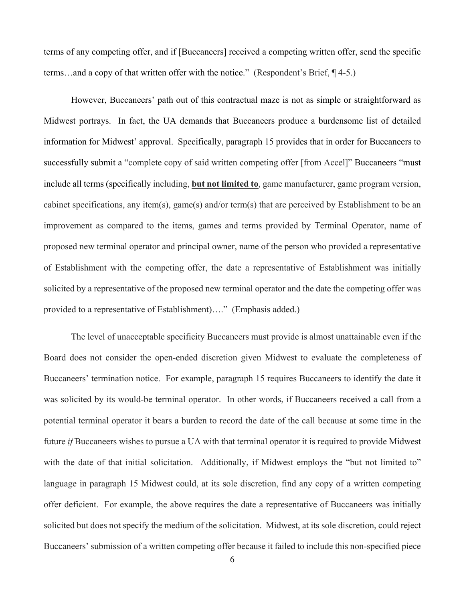terms of any competing offer, and if [Buccaneers] received a competing written offer, send the specific terms…and a copy of that written offer with the notice." (Respondent's Brief, ¶ 4-5.)

However, Buccaneers' path out of this contractual maze is not as simple or straightforward as Midwest portrays. In fact, the UA demands that Buccaneers produce a burdensome list of detailed information for Midwest' approval. Specifically, paragraph 15 provides that in order for Buccaneers to successfully submit a "complete copy of said written competing offer [from Accel]" Buccaneers "must include all terms (specifically including, **but not limited to**, game manufacturer, game program version, cabinet specifications, any item(s), game(s) and/or term(s) that are perceived by Establishment to be an improvement as compared to the items, games and terms provided by Terminal Operator, name of proposed new terminal operator and principal owner, name of the person who provided a representative of Establishment with the competing offer, the date a representative of Establishment was initially solicited by a representative of the proposed new terminal operator and the date the competing offer was provided to a representative of Establishment)…." (Emphasis added.)

The level of unacceptable specificity Buccaneers must provide is almost unattainable even if the Board does not consider the open-ended discretion given Midwest to evaluate the completeness of Buccaneers' termination notice. For example, paragraph 15 requires Buccaneers to identify the date it was solicited by its would-be terminal operator. In other words, if Buccaneers received a call from a potential terminal operator it bears a burden to record the date of the call because at some time in the future *if* Buccaneers wishes to pursue a UA with that terminal operator it is required to provide Midwest with the date of that initial solicitation. Additionally, if Midwest employs the "but not limited to" language in paragraph 15 Midwest could, at its sole discretion, find any copy of a written competing offer deficient. For example, the above requires the date a representative of Buccaneers was initially solicited but does not specify the medium of the solicitation. Midwest, at its sole discretion, could reject Buccaneers' submission of a written competing offer because it failed to include this non-specified piece